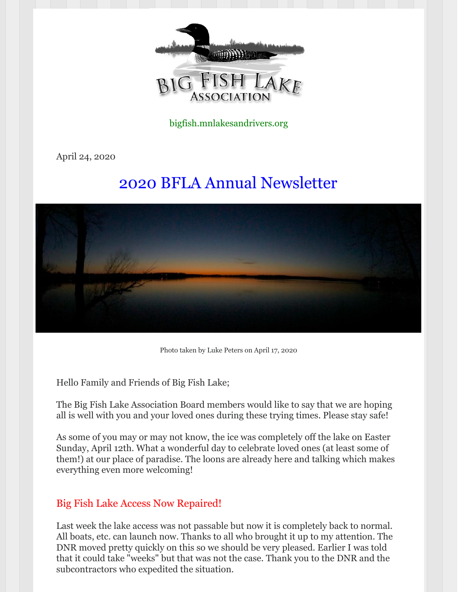

bigfish.mnlakesandrivers.org

April 24, 2020

# 2020 BFLA Annual Newsletter



Photo taken by Luke Peters on April 17, 2020

Hello Family and Friends of Big Fish Lake;

The Big Fish Lake Association Board members would like to say that we are hoping all is well with you and your loved ones during these trying times. Please stay safe!

As some of you may or may not know, the ice was completely off the lake on Easter Sunday, April 12th. What a wonderful day to celebrate loved ones (at least some of them!) at our place of paradise. The loons are already here and talking which makes everything even more welcoming!

### Big Fish Lake Access Now Repaired!

Last week the lake access was not passable but now it is completely back to normal. All boats, etc. can launch now. Thanks to all who brought it up to my attention. The DNR moved pretty quickly on this so we should be very pleased. Earlier I was told that it could take "weeks" but that was not the case. Thank you to the DNR and the subcontractors who expedited the situation.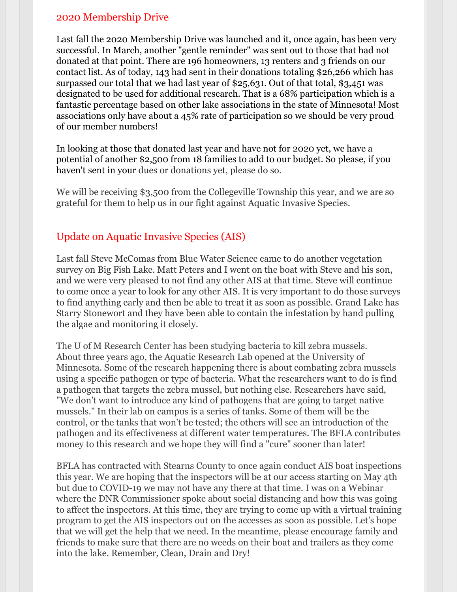### 2020 Membership Drive

Last fall the 2020 Membership Drive was launched and it, once again, has been very successful. In March, another "gentle reminder" was sent out to those that had not donated at that point. There are 196 homeowners, 13 renters and 3 friends on our contact list. As of today, 143 had sent in their donations totaling \$26,266 which has surpassed our total that we had last year of \$25,631. Out of that total, \$3,451 was designated to be used for additional research. That is a 68% participation which is a fantastic percentage based on other lake associations in the state of Minnesota! Most associations only have about a 45% rate of participation so we should be very proud of our member numbers!

In looking at those that donated last year and have not for 2020 yet, we have a potential of another \$2,500 from 18 families to add to our budget. So please, if you haven't sent in your dues or donations yet, please do so.

We will be receiving \$3,500 from the Collegeville Township this year, and we are so grateful for them to help us in our fight against Aquatic Invasive Species.

### Update on Aquatic Invasive Species (AIS)

Last fall Steve McComas from Blue Water Science came to do another vegetation survey on Big Fish Lake. Matt Peters and I went on the boat with Steve and his son, and we were very pleased to not find any other AIS at that time. Steve will continue to come once a year to look for any other AIS. It is very important to do those surveys to find anything early and then be able to treat it as soon as possible. Grand Lake has Starry Stonewort and they have been able to contain the infestation by hand pulling the algae and monitoring it closely.

The U of M Research Center has been studying bacteria to kill zebra mussels. About three years ago, the Aquatic Research Lab opened at the University of Minnesota. Some of the research happening there is about combating zebra mussels using a specific pathogen or type of bacteria. What the researchers want to do is find a pathogen that targets the zebra mussel, but nothing else. Researchers have said, "We don't want to introduce any kind of pathogens that are going to target native mussels." In their lab on campus is a series of tanks. Some of them will be the control, or the tanks that won't be tested; the others will see an introduction of the pathogen and its effectiveness at different water temperatures. The BFLA contributes money to this research and we hope they will find a "cure" sooner than later!

BFLA has contracted with Stearns County to once again conduct AIS boat inspections this year. We are hoping that the inspectors will be at our access starting on May 4th but due to COVID-19 we may not have any there at that time. I was on a Webinar where the DNR Commissioner spoke about social distancing and how this was going to affect the inspectors. At this time, they are trying to come up with a virtual training program to get the AIS inspectors out on the accesses as soon as possible. Let's hope that we will get the help that we need. In the meantime, please encourage family and friends to make sure that there are no weeds on their boat and trailers as they come into the lake. Remember, Clean, Drain and Dry!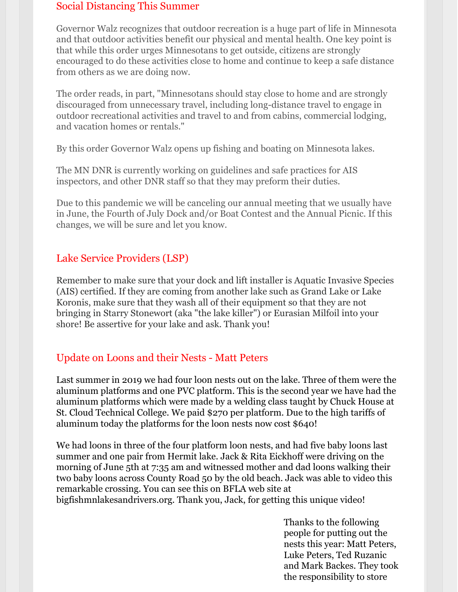### Social Distancing This Summer

Governor Walz recognizes that outdoor recreation is a huge part of life in Minnesota and that outdoor activities benefit our physical and mental health. One key point is that while this order urges Minnesotans to get outside, citizens are strongly encouraged to do these activities close to home and continue to keep a safe distance from others as we are doing now.

The order reads, in part, "Minnesotans should stay close to home and are strongly discouraged from unnecessary travel, including long-distance travel to engage in outdoor recreational activities and travel to and from cabins, commercial lodging, and vacation homes or rentals."

By this order Governor Walz opens up fishing and boating on Minnesota lakes.

The MN DNR is currently working on guidelines and safe practices for AIS inspectors, and other DNR staff so that they may preform their duties.

Due to this pandemic we will be canceling our annual meeting that we usually have in June, the Fourth of July Dock and/or Boat Contest and the Annual Picnic. If this changes, we will be sure and let you know.

### Lake Service Providers (LSP)

Remember to make sure that your dock and lift installer is Aquatic Invasive Species (AIS) certified. If they are coming from another lake such as Grand Lake or Lake Koronis, make sure that they wash all of their equipment so that they are not bringing in Starry Stonewort (aka "the lake killer") or Eurasian Milfoil into your shore! Be assertive for your lake and ask. Thank you!

### Update on Loons and their Nests - Matt Peters

Last summer in 2019 we had four loon nests out on the lake. Three of them were the aluminum platforms and one PVC platform. This is the second year we have had the aluminum platforms which were made by a welding class taught by Chuck House at St. Cloud Technical College. We paid \$270 per platform. Due to the high tariffs of aluminum today the platforms for the loon nests now cost \$640!

We had loons in three of the four platform loon nests, and had five baby loons last summer and one pair from Hermit lake. Jack & Rita Eickhoff were driving on the morning of June 5th at 7:35 am and witnessed mother and dad loons walking their two baby loons across County Road 50 by the old beach. Jack was able to video this remarkable crossing. You can see this on BFLA web site at bigfishmnlakesandrivers.org. Thank you, Jack, for getting this unique video!

> Thanks to the following people for putting out the nests this year: Matt Peters, Luke Peters, Ted Ruzanic and Mark Backes. They took the responsibility to store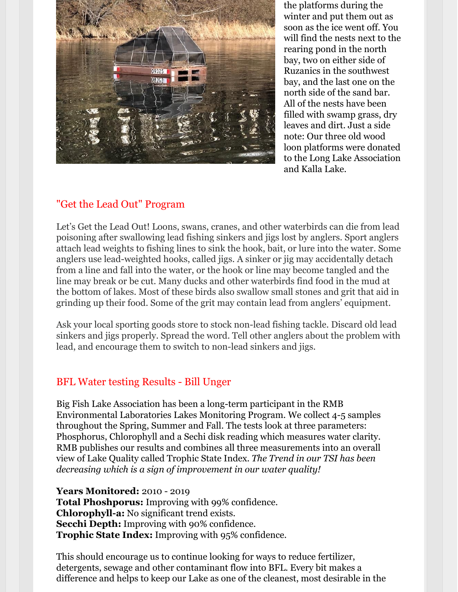

the platforms during the winter and put them out as soon as the ice went off. You will find the nests next to the rearing pond in the north bay, two on either side of Ruzanics in the southwest bay, and the last one on the north side of the sand bar. All of the nests have been filled with swamp grass, dry leaves and dirt. Just a side note: Our three old wood loon platforms were donated to the Long Lake Association and Kalla Lake.

### "Get the Lead Out" Program

Let's Get the Lead Out! Loons, swans, cranes, and other waterbirds can die from lead poisoning after swallowing lead fishing sinkers and jigs lost by anglers. Sport anglers attach lead weights to fishing lines to sink the hook, bait, or lure into the water. Some anglers use lead-weighted hooks, called jigs. A sinker or jig may accidentally detach from a line and fall into the water, or the hook or line may become tangled and the line may break or be cut. Many ducks and other waterbirds find food in the mud at the bottom of lakes. Most of these birds also swallow small stones and grit that aid in grinding up their food. Some of the grit may contain lead from anglers' equipment.

Ask your local sporting goods store to stock non-lead fishing tackle. Discard old lead sinkers and jigs properly. Spread the word. Tell other anglers about the problem with lead, and encourage them to switch to non-lead sinkers and jigs.

### BFL Water testing Results - Bill Unger

Big Fish Lake Association has been a long-term participant in the RMB Environmental Laboratories Lakes Monitoring Program. We collect 4-5 samples throughout the Spring, Summer and Fall. The tests look at three parameters: Phosphorus, Chlorophyll and a Sechi disk reading which measures water clarity. RMB publishes our results and combines all three measurements into an overall view of Lake Quality called Trophic State Index. *The Trend in our TSI has been decreasing which is a sign of improvement in our water quality!*

**Years Monitored:** 2010 - 2019 **Total Phoshporus:** Improving with 99% confidence. **Chlorophyll-a:** No significant trend exists. **Secchi Depth:** Improving with 90% confidence. **Trophic State Index:** Improving with 95% confidence.

This should encourage us to continue looking for ways to reduce fertilizer, detergents, sewage and other contaminant flow into BFL. Every bit makes a difference and helps to keep our Lake as one of the cleanest, most desirable in the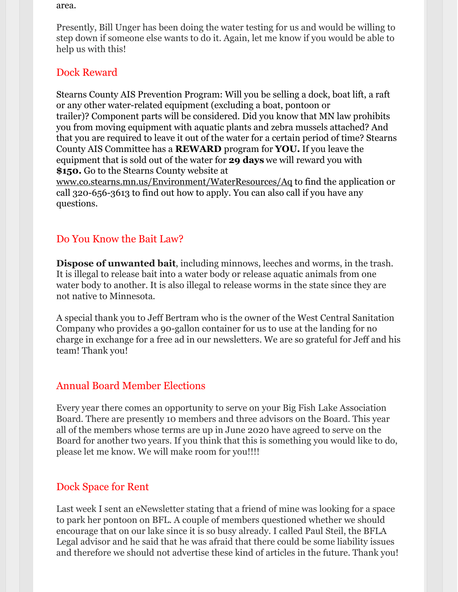area.

Presently, Bill Unger has been doing the water testing for us and would be willing to step down if someone else wants to do it. Again, let me know if you would be able to help us with this!

### Dock Reward

Stearns County AIS Prevention Program: Will you be selling a dock, boat lift, a raft or any other water-related equipment (excluding a boat, pontoon or trailer)? Component parts will be considered. Did you know that MN law prohibits you from moving equipment with aquatic plants and zebra mussels attached? And that you are required to leave it out of the water for a certain period of time? Stearns County AIS Committee has a **REWARD** program for **YOU.** If you leave the equipment that is sold out of the water for **29 days** we will reward you with **\$150.** Go to the Stearns County website at

[www.co.stearns.mn.us/Environment/WaterResources/Aq](http://www.co.stearns.mn.us/Environment/WaterResources/Aq) to find the application or call 320-656-3613 to find out how to apply. You can also call if you have any questions.

### Do You Know the Bait Law?

**Dispose of unwanted bait**, including minnows, leeches and worms, in the trash. It is illegal to release bait into a water body or release aquatic animals from one water body to another. It is also illegal to release worms in the state since they are not native to Minnesota.

A special thank you to Jeff Bertram who is the owner of the West Central Sanitation Company who provides a 90-gallon container for us to use at the landing for no charge in exchange for a free ad in our newsletters. We are so grateful for Jeff and his team! Thank you!

## Annual Board Member Elections

Every year there comes an opportunity to serve on your Big Fish Lake Association Board. There are presently 10 members and three advisors on the Board. This year all of the members whose terms are up in June 2020 have agreed to serve on the Board for another two years. If you think that this is something you would like to do, please let me know. We will make room for you!!!!

### Dock Space for Rent

Last week I sent an eNewsletter stating that a friend of mine was looking for a space to park her pontoon on BFL. A couple of members questioned whether we should encourage that on our lake since it is so busy already. I called Paul Steil, the BFLA Legal advisor and he said that he was afraid that there could be some liability issues and therefore we should not advertise these kind of articles in the future. Thank you!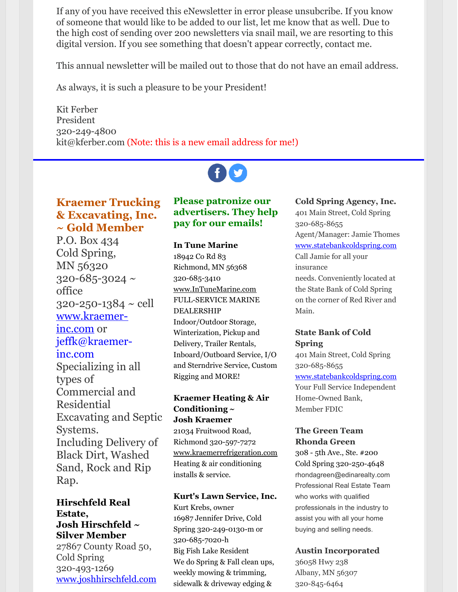If any of you have received this eNewsletter in error please unsubcribe. If you know of someone that would like to be added to our list, let me know that as well. Due to the high cost of sending over 200 newsletters via snail mail, we are resorting to this digital version. If you see something that doesn't appear correctly, contact me.

This annual newsletter will be mailed out to those that do not have an email address.

As always, it is such a pleasure to be your President!

Kit Ferber President 320-249-4800 kit@kferber.com (Note: this is a new email address for me!)

### **Kraemer Trucking & Excavating, Inc. ~ Gold Member**

P.O. Box 434 Cold Spring, MN 56320  $320 - 685 - 3024$  ~ office  $320 - 250 - 1384 \sim$  cell [www.kraemer](http://www.kraemer-inc.com/)inc.com or jeffk@kraemerinc.com Specializing in all types of Commercial and Residential Excavating and Septic Systems. Including Delivery of Black Dirt, Washed Sand, Rock and Rip Rap.

#### **Hirschfeld Real Estate, Josh Hirschfeld ~ Silver Member**

27867 County Road 50, Cold Spring 320-493-1269 [www.joshhirschfeld.com](http://www.joshhirschfeld.com/)

### **Please patronize our advertisers. They help pay for our emails!**

#### **In Tune Marine**

18942 Co Rd 83 Richmond, MN 56368 320-685-3410 [www.InTuneMarine.com](http://www.intunemarine.com/) FULL-SERVICE MARINE DEALERSHIP Indoor/Outdoor Storage, Winterization, Pickup and Delivery, Trailer Rentals, Inboard/Outboard Service, I/O and Sterndrive Service, Custom Rigging and MORE!

### **Kraemer Heating & Air Conditioning ~ Josh Kraemer**

21034 Fruitwood Road, Richmond 320-597-7272 [www.kraemerrefrigeration.com](http://www.kraemerrefrigeration.com/) Heating & air conditioning installs & service.

#### **Kurt's Lawn Service, Inc.**

Kurt Krebs, owner 16987 Jennifer Drive, Cold Spring 320-249-0130-m or 320-685-7020-h Big Fish Lake Resident We do Spring & Fall clean ups, weekly mowing & trimming, sidewalk & driveway edging &

### **Cold Spring Agency, Inc.**

401 Main Street, Cold Spring 320-685-8655 Agent/Manager: Jamie Thomes [www.statebankcoldspring.com](http://www.statebankcoldspring.com/) Call Jamie for all your insurance needs. Conveniently located at the State Bank of Cold Spring on the corner of Red River and Main.

### **State Bank of Cold Spring**

401 Main Street, Cold Spring 320-685-8655 [www.statebankcoldspring.com](http://www.statebankcoldspring.com/) Your Full Service Independent Home-Owned Bank, Member FDIC

### **The Green Team Rhonda Green**

308 - 5th Ave., Ste. #200 Cold Spring 320-250-4648 rhondagreen@edinarealty.com Professional Real Estate Team who works with qualified professionals in the industry to assist you with all your home buying and selling needs.

#### **Austin Incorporated**

36058 Hwy 238 Albany, MN 56307 320-845-6464